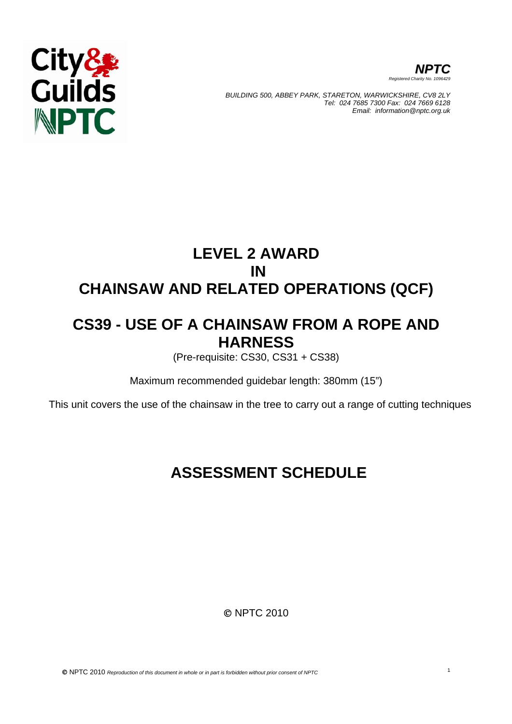



*BUILDING 500, ABBEY PARK, STARETON, WARWICKSHIRE, CV8 2LY Tel: 024 7685 7300 Fax: 024 7669 6128 Email: information@nptc.org.uk*

# **LEVEL 2 AWARD IN CHAINSAW AND RELATED OPERATIONS (QCF)**

# **CS39 - USE OF A CHAINSAW FROM A ROPE AND HARNESS**

(Pre-requisite: CS30, CS31 + CS38)

Maximum recommended guidebar length: 380mm (15")

This unit covers the use of the chainsaw in the tree to carry out a range of cutting techniques

# **ASSESSMENT SCHEDULE**

© NPTC 2010

© NPTC 2010 *Reproduction of this document in whole or in part is forbidden without prior consent of NPTC* <sup>1</sup>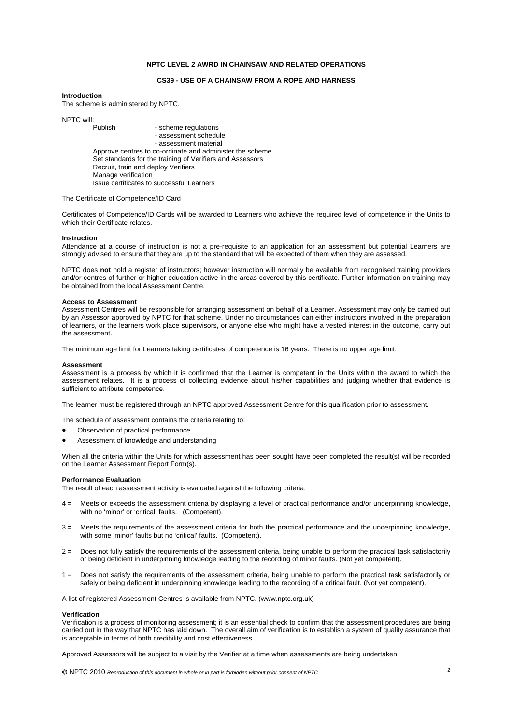## **NPTC LEVEL 2 AWRD IN CHAINSAW AND RELATED OPERATIONS**

### **CS39 - USE OF A CHAINSAW FROM A ROPE AND HARNESS**

#### **Introduction**

The scheme is administered by NPTC.

NPTC will: - scheme regulations - assessment schedule - assessment material Approve centres to co-ordinate and administer the scheme Set standards for the training of Verifiers and Assessors Recruit, train and deploy Verifiers Manage verification Issue certificates to successful Learners

#### The Certificate of Competence/ID Card

Certificates of Competence/ID Cards will be awarded to Learners who achieve the required level of competence in the Units to which their Certificate relates.

#### **Instruction**

Attendance at a course of instruction is not a pre-requisite to an application for an assessment but potential Learners are strongly advised to ensure that they are up to the standard that will be expected of them when they are assessed.

NPTC does **not** hold a register of instructors; however instruction will normally be available from recognised training providers and/or centres of further or higher education active in the areas covered by this certificate. Further information on training may be obtained from the local Assessment Centre.

#### **Access to Assessment**

Assessment Centres will be responsible for arranging assessment on behalf of a Learner. Assessment may only be carried out by an Assessor approved by NPTC for that scheme. Under no circumstances can either instructors involved in the preparation of learners, or the learners work place supervisors, or anyone else who might have a vested interest in the outcome, carry out the assessment.

The minimum age limit for Learners taking certificates of competence is 16 years. There is no upper age limit.

#### **Assessment**

Assessment is a process by which it is confirmed that the Learner is competent in the Units within the award to which the assessment relates. It is a process of collecting evidence about his/her capabilities and judging whether that evidence is sufficient to attribute competence.

The learner must be registered through an NPTC approved Assessment Centre for this qualification prior to assessment.

The schedule of assessment contains the criteria relating to:

- Observation of practical performance
- Assessment of knowledge and understanding

When all the criteria within the Units for which assessment has been sought have been completed the result(s) will be recorded on the Learner Assessment Report Form(s).

#### **Performance Evaluation**

The result of each assessment activity is evaluated against the following criteria:

- 4 = Meets or exceeds the assessment criteria by displaying a level of practical performance and/or underpinning knowledge, with no 'minor' or 'critical' faults. (Competent).
- 3 = Meets the requirements of the assessment criteria for both the practical performance and the underpinning knowledge, with some 'minor' faults but no 'critical' faults. (Competent).
- 2 = Does not fully satisfy the requirements of the assessment criteria, being unable to perform the practical task satisfactorily or being deficient in underpinning knowledge leading to the recording of minor faults. (Not yet competent).
- 1 = Does not satisfy the requirements of the assessment criteria, being unable to perform the practical task satisfactorily or safely or being deficient in underpinning knowledge leading to the recording of a critical fault. (Not yet competent).

A list of registered Assessment Centres is available from NPTC. [\(www.nptc.org.uk](http://www.nptc.org.uk/))

#### **Verification**

Verification is a process of monitoring assessment; it is an essential check to confirm that the assessment procedures are being carried out in the way that NPTC has laid down. The overall aim of verification is to establish a system of quality assurance that is acceptable in terms of both credibility and cost effectiveness.

Approved Assessors will be subject to a visit by the Verifier at a time when assessments are being undertaken.

© NPTC 2010 *Reproduction of this document in whole or in part is forbidden without prior consent of NPTC* <sup>2</sup>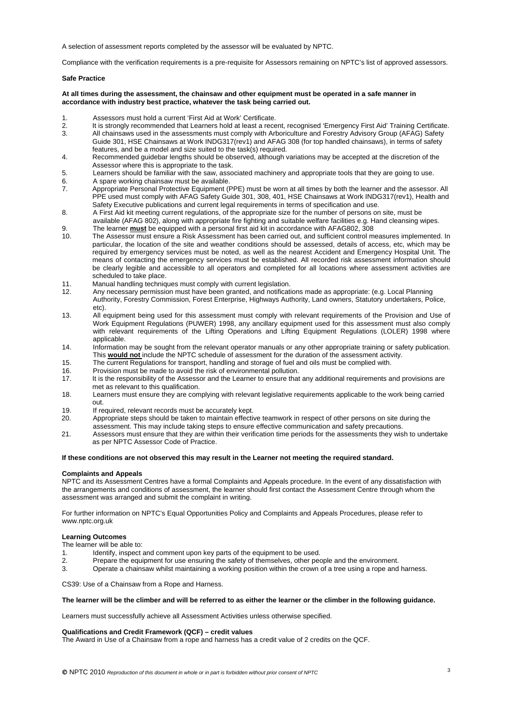A selection of assessment reports completed by the assessor will be evaluated by NPTC.

Compliance with the verification requirements is a pre-requisite for Assessors remaining on NPTC's list of approved assessors.

### **Safe Practice**

### **At all times during the assessment, the chainsaw and other equipment must be operated in a safe manner in accordance with industry best practice, whatever the task being carried out.**

- 1. Assessors must hold a current 'First Aid at Work' Certificate.
- 2. It is strongly recommended that Learners hold at least a recent, recognised 'Emergency First Aid' Training Certificate.
- 3. All chainsaws used in the assessments must comply with Arboriculture and Forestry Advisory Group (AFAG) Safety Guide 301, HSE Chainsaws at Work INDG317(rev1) and AFAG 308 (for top handled chainsaws), in terms of safety features, and be a model and size suited to the task(s) required.
- 4. Recommended guidebar lengths should be observed, although variations may be accepted at the discretion of the Assessor where this is appropriate to the task.
- 5. Learners should be familiar with the saw, associated machinery and appropriate tools that they are going to use.
- 6. A spare working chainsaw must be available.
- 7. Appropriate Personal Protective Equipment (PPE) must be worn at all times by both the learner and the assessor. All PPE used must comply with AFAG Safety Guide 301, 308, 401, HSE Chainsaws at Work INDG317(rev1), Health and Safety Executive publications and current legal requirements in terms of specification and use.
- 8. A First Aid kit meeting current regulations, of the appropriate size for the number of persons on site, must be available (AFAG 802), along with appropriate fire fighting and suitable welfare facilities e.g. Hand cleansing wipes.
- 9. The learner **must** be equipped with a personal first aid kit in accordance with AFAG802, 308 The Assessor must ensure a Risk Assessment has been carried out, and sufficient control measures implemented. In particular, the location of the site and weather conditions should be assessed, details of access, etc, which may be required by emergency services must be noted, as well as the nearest Accident and Emergency Hospital Unit. The means of contacting the emergency services must be established. All recorded risk assessment information should be clearly legible and accessible to all operators and completed for all locations where assessment activities are scheduled to take place.
- 11. Manual handling techniques must comply with current legislation.<br>12. Any necessary permission must have been granted, and notificati
- 12. Any necessary permission must have been granted, and notifications made as appropriate: (e.g. Local Planning Authority, Forestry Commission, Forest Enterprise, Highways Authority, Land owners, Statutory undertakers, Police, etc).
- 13. All equipment being used for this assessment must comply with relevant requirements of the Provision and Use of Work Equipment Regulations (PUWER) 1998, any ancillary equipment used for this assessment must also comply with relevant requirements of the Lifting Operations and Lifting Equipment Regulations (LOLER) 1998 where applicable.
- 14. Information may be sought from the relevant operator manuals or any other appropriate training or safety publication. This **would not** include the NPTC schedule of assessment for the duration of the assessment activity.
- 15. The current Regulations for transport, handling and storage of fuel and oils must be complied with.
- 
- 16. Provision must be made to avoid the risk of environmental pollution.<br>17. It is the responsibility of the Assessor and the Learner to ensure that It is the responsibility of the Assessor and the Learner to ensure that any additional requirements and provisions are met as relevant to this qualification.
- 18. Learners must ensure they are complying with relevant legislative requirements applicable to the work being carried out.
- 19. If required, relevant records must be accurately kept.
- 20. Appropriate steps should be taken to maintain effective teamwork in respect of other persons on site during the
- assessment. This may include taking steps to ensure effective communication and safety precautions.
- 21. Assessors must ensure that they are within their verification time periods for the assessments they wish to undertake as per NPTC Assessor Code of Practice.

#### **If these conditions are not observed this may result in the Learner not meeting the required standard.**

#### **Complaints and Appeals**

NPTC and its Assessment Centres have a formal Complaints and Appeals procedure. In the event of any dissatisfaction with the arrangements and conditions of assessment, the learner should first contact the Assessment Centre through whom the assessment was arranged and submit the complaint in writing.

For further information on NPTC's Equal Opportunities Policy and Complaints and Appeals Procedures, please refer to www.nptc.org.uk

#### **Learning Outcomes**

The learner will be able to:

- 1. Identify, inspect and comment upon key parts of the equipment to be used.<br>2. Prepare the equipment for use ensuring the safety of themselves, other peo-
- Prepare the equipment for use ensuring the safety of themselves, other people and the environment.
- 3. Operate a chainsaw whilst maintaining a working position within the crown of a tree using a rope and harness.

CS39: Use of a Chainsaw from a Rope and Harness.

#### **The learner will be the climber and will be referred to as either the learner or the climber in the following guidance.**

Learners must successfully achieve all Assessment Activities unless otherwise specified.

#### **Qualifications and Credit Framework (QCF) – credit values**

The Award in Use of a Chainsaw from a rope and harness has a credit value of 2 credits on the QCF.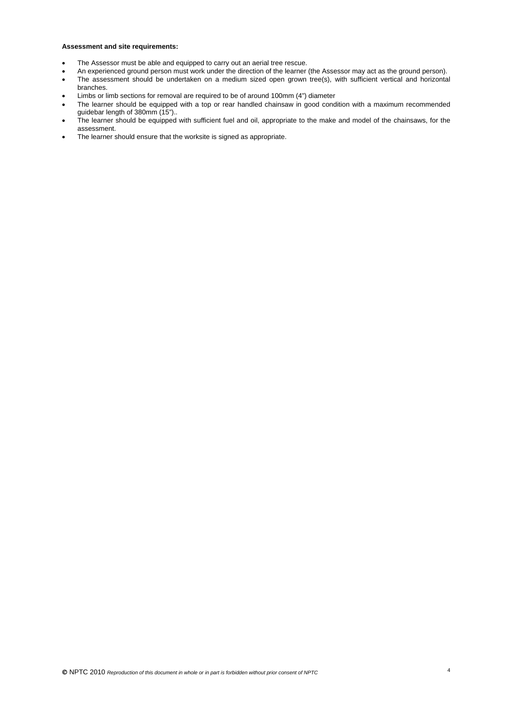# **Assessment and site requirements:**

- The Assessor must be able and equipped to carry out an aerial tree rescue.
- An experienced ground person must work under the direction of the learner (the Assessor may act as the ground person).
- The assessment should be undertaken on a medium sized open grown tree(s), with sufficient vertical and horizontal branches.
- Limbs or limb sections for removal are required to be of around 100mm (4") diameter
- The learner should be equipped with a top or rear handled chainsaw in good condition with a maximum recommended guidebar length of 380mm (15")..
- The learner should be equipped with sufficient fuel and oil, appropriate to the make and model of the chainsaws, for the assessment.
- The learner should ensure that the worksite is signed as appropriate.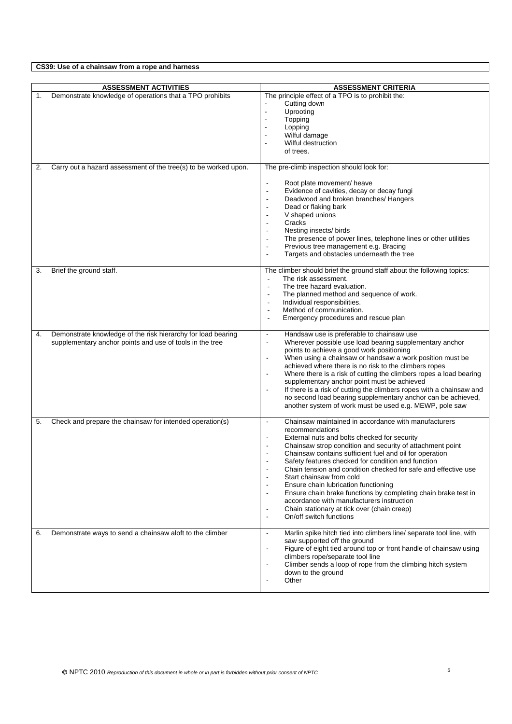**CS39: Use of a chainsaw from a rope and harness** 

|    | <b>ASSESSMENT ACTIVITIES</b>                                    | <b>ASSESSMENT CRITERIA</b>                                                                                                                 |
|----|-----------------------------------------------------------------|--------------------------------------------------------------------------------------------------------------------------------------------|
| 1. | Demonstrate knowledge of operations that a TPO prohibits        | The principle effect of a TPO is to prohibit the:                                                                                          |
|    |                                                                 | Cutting down                                                                                                                               |
|    |                                                                 | Uprooting<br>$\blacksquare$                                                                                                                |
|    |                                                                 | Topping<br>$\blacksquare$                                                                                                                  |
|    |                                                                 | Lopping<br>$\overline{a}$                                                                                                                  |
|    |                                                                 | Wilful damage<br>$\blacksquare$                                                                                                            |
|    |                                                                 | Wilful destruction                                                                                                                         |
|    |                                                                 | of trees.                                                                                                                                  |
|    |                                                                 |                                                                                                                                            |
| 2. | Carry out a hazard assessment of the tree(s) to be worked upon. | The pre-climb inspection should look for:                                                                                                  |
|    |                                                                 |                                                                                                                                            |
|    |                                                                 | Root plate movement/ heave<br>$\blacksquare$                                                                                               |
|    |                                                                 | Evidence of cavities, decay or decay fungi<br>$\overline{a}$                                                                               |
|    |                                                                 | Deadwood and broken branches/ Hangers<br>$\overline{a}$                                                                                    |
|    |                                                                 | Dead or flaking bark<br>$\overline{\phantom{0}}$                                                                                           |
|    |                                                                 | V shaped unions<br>$\overline{a}$<br>Cracks                                                                                                |
|    |                                                                 | $\overline{\phantom{a}}$                                                                                                                   |
|    |                                                                 | Nesting insects/ birds                                                                                                                     |
|    |                                                                 | The presence of power lines, telephone lines or other utilities<br>$\overline{\phantom{a}}$<br>Previous tree management e.g. Bracing<br>÷, |
|    |                                                                 | Targets and obstacles underneath the tree<br>÷,                                                                                            |
|    |                                                                 |                                                                                                                                            |
| 3. | Brief the ground staff.                                         | The climber should brief the ground staff about the following topics:                                                                      |
|    |                                                                 | The risk assessment.                                                                                                                       |
|    |                                                                 | The tree hazard evaluation.                                                                                                                |
|    |                                                                 | The planned method and sequence of work.                                                                                                   |
|    |                                                                 | Individual responsibilities.<br>$\overline{\phantom{a}}$                                                                                   |
|    |                                                                 | Method of communication.<br>$\overline{a}$                                                                                                 |
|    |                                                                 | Emergency procedures and rescue plan                                                                                                       |
| 4. | Demonstrate knowledge of the risk hierarchy for load bearing    | Handsaw use is preferable to chainsaw use<br>$\blacksquare$                                                                                |
|    | supplementary anchor points and use of tools in the tree        | Wherever possible use load bearing supplementary anchor<br>$\blacksquare$                                                                  |
|    |                                                                 | points to achieve a good work positioning                                                                                                  |
|    |                                                                 | When using a chainsaw or handsaw a work position must be<br>$\blacksquare$                                                                 |
|    |                                                                 | achieved where there is no risk to the climbers ropes                                                                                      |
|    |                                                                 | Where there is a risk of cutting the climbers ropes a load bearing<br>$\blacksquare$                                                       |
|    |                                                                 | supplementary anchor point must be achieved                                                                                                |
|    |                                                                 | If there is a risk of cutting the climbers ropes with a chainsaw and<br>$\blacksquare$                                                     |
|    |                                                                 | no second load bearing supplementary anchor can be achieved,                                                                               |
|    |                                                                 | another system of work must be used e.g. MEWP, pole saw                                                                                    |
|    |                                                                 |                                                                                                                                            |
| 5. | Check and prepare the chainsaw for intended operation(s)        | Chainsaw maintained in accordance with manufacturers<br>$\blacksquare$                                                                     |
|    |                                                                 | recommendations<br>External nuts and bolts checked for security<br>$\blacksquare$                                                          |
|    |                                                                 | $\blacksquare$                                                                                                                             |
|    |                                                                 | Chainsaw strop condition and security of attachment point<br>Chainsaw contains sufficient fuel and oil for operation                       |
|    |                                                                 | Safety features checked for condition and function                                                                                         |
|    |                                                                 | Chain tension and condition checked for safe and effective use                                                                             |
|    |                                                                 | Start chainsaw from cold                                                                                                                   |
|    |                                                                 | Ensure chain lubrication functioning                                                                                                       |
|    |                                                                 | Ensure chain brake functions by completing chain brake test in<br>$\overline{\phantom{a}}$                                                 |
|    |                                                                 | accordance with manufacturers instruction                                                                                                  |
|    |                                                                 | Chain stationary at tick over (chain creep)<br>$\blacksquare$                                                                              |
|    |                                                                 | On/off switch functions<br>$\blacksquare$                                                                                                  |
|    |                                                                 |                                                                                                                                            |
| 6. | Demonstrate ways to send a chainsaw aloft to the climber        | Marlin spike hitch tied into climbers line/ separate tool line, with<br>$\blacksquare$                                                     |
|    |                                                                 | saw supported off the ground                                                                                                               |
|    |                                                                 | Figure of eight tied around top or front handle of chainsaw using<br>$\blacksquare$<br>climbers rope/separate tool line                    |
|    |                                                                 | Climber sends a loop of rope from the climbing hitch system<br>$\blacksquare$                                                              |
|    |                                                                 | down to the ground                                                                                                                         |
|    |                                                                 | Other<br>$\overline{a}$                                                                                                                    |
|    |                                                                 |                                                                                                                                            |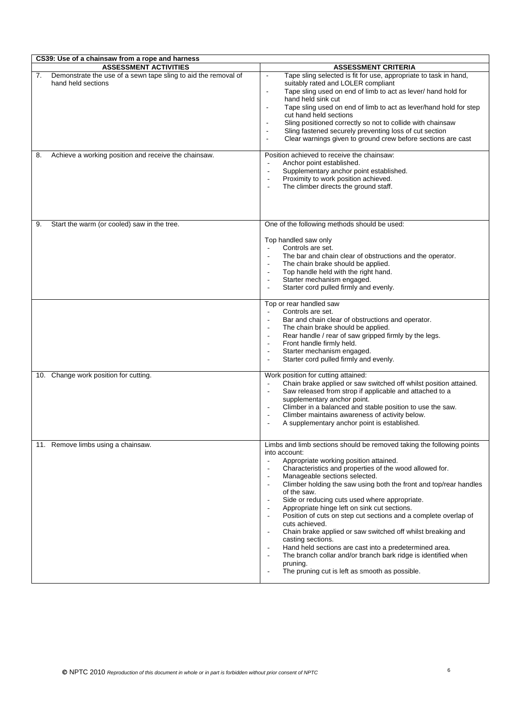| CS39: Use of a chainsaw from a rope and harness                                            |                                                                                                                                                                                                                                                                                                                                                                                                                                                                                                                                                                                                                                                                                                                                                                                                                                                                                                                                                   |  |  |
|--------------------------------------------------------------------------------------------|---------------------------------------------------------------------------------------------------------------------------------------------------------------------------------------------------------------------------------------------------------------------------------------------------------------------------------------------------------------------------------------------------------------------------------------------------------------------------------------------------------------------------------------------------------------------------------------------------------------------------------------------------------------------------------------------------------------------------------------------------------------------------------------------------------------------------------------------------------------------------------------------------------------------------------------------------|--|--|
| <b>ASSESSMENT ACTIVITIES</b>                                                               | <b>ASSESSMENT CRITERIA</b>                                                                                                                                                                                                                                                                                                                                                                                                                                                                                                                                                                                                                                                                                                                                                                                                                                                                                                                        |  |  |
| 7.<br>Demonstrate the use of a sewn tape sling to aid the removal of<br>hand held sections | Tape sling selected is fit for use, appropriate to task in hand,<br>$\blacksquare$<br>suitably rated and LOLER compliant<br>Tape sling used on end of limb to act as lever/ hand hold for<br>$\blacksquare$<br>hand held sink cut<br>Tape sling used on end of limb to act as lever/hand hold for step<br>$\blacksquare$<br>cut hand held sections<br>Sling positioned correctly so not to collide with chainsaw<br>$\blacksquare$<br>Sling fastened securely preventing loss of cut section<br>Clear warnings given to ground crew before sections are cast                                                                                                                                                                                                                                                                                                                                                                                      |  |  |
| Achieve a working position and receive the chainsaw.<br>8.                                 | Position achieved to receive the chainsaw:<br>Anchor point established.<br>Supplementary anchor point established.<br>$\sim$<br>Proximity to work position achieved.<br>The climber directs the ground staff.                                                                                                                                                                                                                                                                                                                                                                                                                                                                                                                                                                                                                                                                                                                                     |  |  |
| Start the warm (or cooled) saw in the tree.<br>9.                                          | One of the following methods should be used:<br>Top handled saw only<br>Controls are set.<br>$\sim$<br>The bar and chain clear of obstructions and the operator.<br>The chain brake should be applied.<br>Top handle held with the right hand.<br>Starter mechanism engaged.<br>Starter cord pulled firmly and evenly.                                                                                                                                                                                                                                                                                                                                                                                                                                                                                                                                                                                                                            |  |  |
|                                                                                            | Top or rear handled saw<br>Controls are set.<br>Bar and chain clear of obstructions and operator.<br>$\overline{\phantom{a}}$<br>The chain brake should be applied.<br>$\overline{\phantom{a}}$<br>Rear handle / rear of saw gripped firmly by the legs.<br>$\overline{\phantom{a}}$<br>Front handle firmly held.<br>Starter mechanism engaged.<br>Starter cord pulled firmly and evenly.                                                                                                                                                                                                                                                                                                                                                                                                                                                                                                                                                         |  |  |
| Change work position for cutting.<br>10.                                                   | Work position for cutting attained:<br>Chain brake applied or saw switched off whilst position attained.<br>Saw released from strop if applicable and attached to a<br>$\overline{\phantom{a}}$<br>supplementary anchor point.<br>Climber in a balanced and stable position to use the saw.<br>$\overline{\phantom{a}}$<br>Climber maintains awareness of activity below.<br>$\overline{\phantom{a}}$<br>A supplementary anchor point is established.<br>٠                                                                                                                                                                                                                                                                                                                                                                                                                                                                                        |  |  |
| 11. Remove limbs using a chainsaw.                                                         | Limbs and limb sections should be removed taking the following points<br>into account:<br>Appropriate working position attained.<br>$\overline{\phantom{a}}$<br>Characteristics and properties of the wood allowed for.<br>$\overline{\phantom{a}}$<br>Manageable sections selected.<br>Climber holding the saw using both the front and top/rear handles<br>$\overline{a}$<br>of the saw.<br>Side or reducing cuts used where appropriate.<br>Appropriate hinge left on sink cut sections.<br>Position of cuts on step cut sections and a complete overlap of<br>$\overline{\phantom{a}}$<br>cuts achieved.<br>Chain brake applied or saw switched off whilst breaking and<br>casting sections.<br>Hand held sections are cast into a predetermined area.<br>The branch collar and/or branch bark ridge is identified when<br>$\overline{\phantom{a}}$<br>pruning.<br>The pruning cut is left as smooth as possible.<br>$\overline{\phantom{a}}$ |  |  |